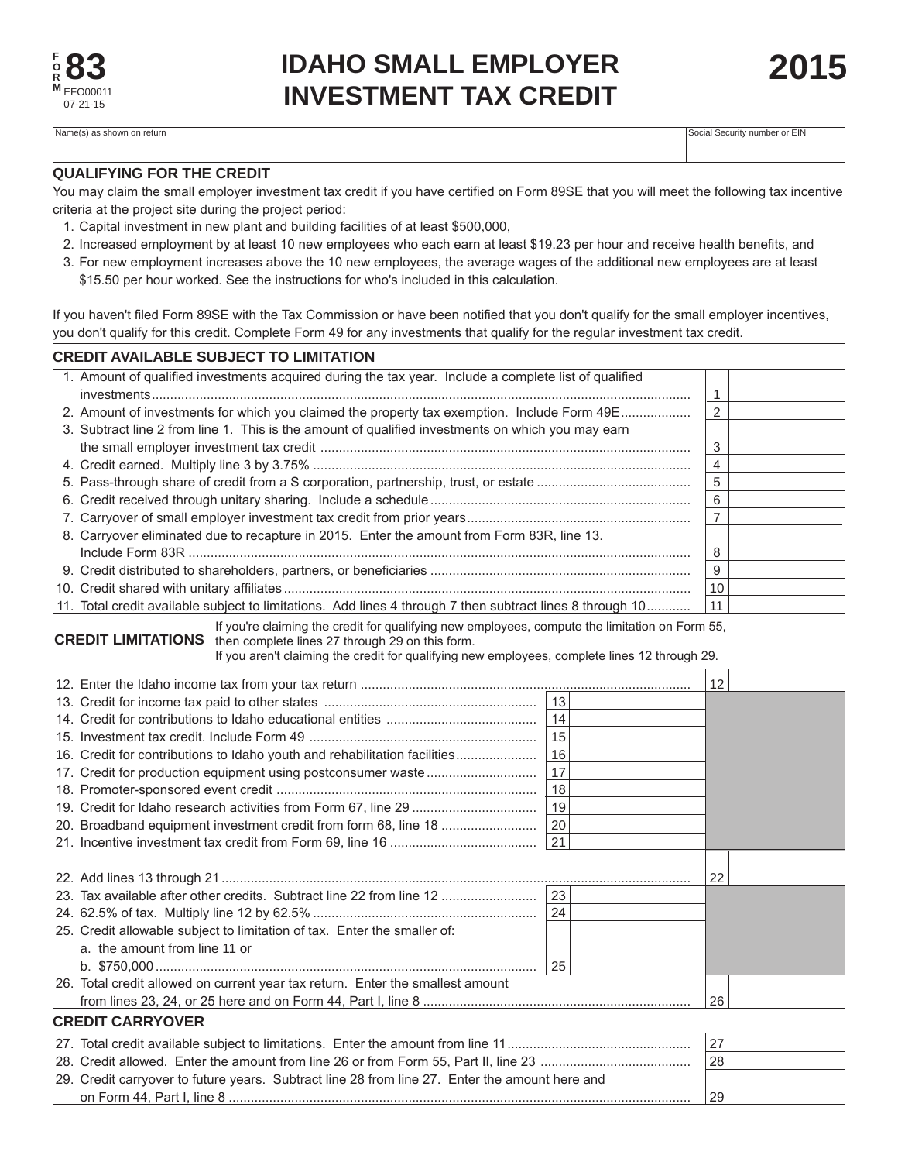**2015**

Social Security number or EIN

## **QUALIFYING FOR THE CREDIT**

You may claim the small employer investment tax credit if you have certified on Form 89SE that you will meet the following tax incentive criteria at the project site during the project period:

- 1. Capital investment in new plant and building facilities of at least \$500,000,
- 2. Increased employment by at least 10 new employees who each earn at least \$19.23 per hour and receive health benefits, and
- 3. For new employment increases above the 10 new employees, the average wages of the additional new employees are at least \$15.50 per hour worked. See the instructions for who's included in this calculation.

If you haven't filed Form 89SE with the Tax Commission or have been notified that you don't qualify for the small employer incentives, you don't qualify for this credit. Complete Form 49 for any investments that qualify for the regular investment tax credit.

## **CREDIT AVAILABLE SUBJECT TO LIMITATION**

|                                                                                                                                                                                                                                                                                 | 1. Amount of qualified investments acquired during the tax year. Include a complete list of qualified     |              |  |    |  |
|---------------------------------------------------------------------------------------------------------------------------------------------------------------------------------------------------------------------------------------------------------------------------------|-----------------------------------------------------------------------------------------------------------|--------------|--|----|--|
|                                                                                                                                                                                                                                                                                 |                                                                                                           |              |  |    |  |
|                                                                                                                                                                                                                                                                                 | 2. Amount of investments for which you claimed the property tax exemption. Include Form 49E               |              |  |    |  |
|                                                                                                                                                                                                                                                                                 | 3. Subtract line 2 from line 1. This is the amount of qualified investments on which you may earn         |              |  |    |  |
|                                                                                                                                                                                                                                                                                 |                                                                                                           |              |  |    |  |
|                                                                                                                                                                                                                                                                                 |                                                                                                           |              |  |    |  |
|                                                                                                                                                                                                                                                                                 |                                                                                                           |              |  |    |  |
|                                                                                                                                                                                                                                                                                 |                                                                                                           |              |  |    |  |
|                                                                                                                                                                                                                                                                                 |                                                                                                           |              |  |    |  |
|                                                                                                                                                                                                                                                                                 | 8. Carryover eliminated due to recapture in 2015. Enter the amount from Form 83R, line 13.                |              |  |    |  |
|                                                                                                                                                                                                                                                                                 |                                                                                                           |              |  |    |  |
|                                                                                                                                                                                                                                                                                 |                                                                                                           |              |  |    |  |
|                                                                                                                                                                                                                                                                                 |                                                                                                           |              |  |    |  |
|                                                                                                                                                                                                                                                                                 | 11. Total credit available subject to limitations. Add lines 4 through 7 then subtract lines 8 through 10 |              |  |    |  |
| If you're claiming the credit for qualifying new employees, compute the limitation on Form 55,<br><b>CREDIT LIMITATIONS</b><br>then complete lines 27 through 29 on this form.<br>If you aren't claiming the credit for qualifying new employees, complete lines 12 through 29. |                                                                                                           |              |  |    |  |
|                                                                                                                                                                                                                                                                                 |                                                                                                           |              |  | 12 |  |
|                                                                                                                                                                                                                                                                                 |                                                                                                           | $ 13\rangle$ |  |    |  |
|                                                                                                                                                                                                                                                                                 |                                                                                                           | $\vert$ 14   |  |    |  |
|                                                                                                                                                                                                                                                                                 |                                                                                                           | $\vert$ 15   |  |    |  |
|                                                                                                                                                                                                                                                                                 | 16. Credit for contributions to Idaho youth and rehabilitation facilities                                 | 16           |  |    |  |
|                                                                                                                                                                                                                                                                                 |                                                                                                           | 17           |  |    |  |
|                                                                                                                                                                                                                                                                                 |                                                                                                           | 18           |  |    |  |
|                                                                                                                                                                                                                                                                                 |                                                                                                           | 19           |  |    |  |
|                                                                                                                                                                                                                                                                                 | 20. Broadband equipment investment credit from form 68, line 18                                           | 20           |  |    |  |
|                                                                                                                                                                                                                                                                                 |                                                                                                           | 21           |  |    |  |
|                                                                                                                                                                                                                                                                                 |                                                                                                           |              |  |    |  |
|                                                                                                                                                                                                                                                                                 |                                                                                                           |              |  |    |  |
|                                                                                                                                                                                                                                                                                 | 23. Tax available after other credits. Subtract line 22 from line 12                                      | 23           |  | 22 |  |
|                                                                                                                                                                                                                                                                                 |                                                                                                           | 24           |  |    |  |
|                                                                                                                                                                                                                                                                                 | 25. Credit allowable subject to limitation of tax. Enter the smaller of:                                  |              |  |    |  |
|                                                                                                                                                                                                                                                                                 | a. the amount from line 11 or                                                                             |              |  |    |  |
|                                                                                                                                                                                                                                                                                 |                                                                                                           | 25           |  |    |  |
|                                                                                                                                                                                                                                                                                 | 26. Total credit allowed on current year tax return. Enter the smallest amount                            |              |  |    |  |
|                                                                                                                                                                                                                                                                                 |                                                                                                           |              |  |    |  |
| 26<br><b>CREDIT CARRYOVER</b>                                                                                                                                                                                                                                                   |                                                                                                           |              |  |    |  |
| 27                                                                                                                                                                                                                                                                              |                                                                                                           |              |  |    |  |
|                                                                                                                                                                                                                                                                                 |                                                                                                           |              |  |    |  |
|                                                                                                                                                                                                                                                                                 | 28                                                                                                        |              |  |    |  |
|                                                                                                                                                                                                                                                                                 | 29. Credit carryover to future years. Subtract line 28 from line 27. Enter the amount here and            |              |  |    |  |
|                                                                                                                                                                                                                                                                                 |                                                                                                           |              |  |    |  |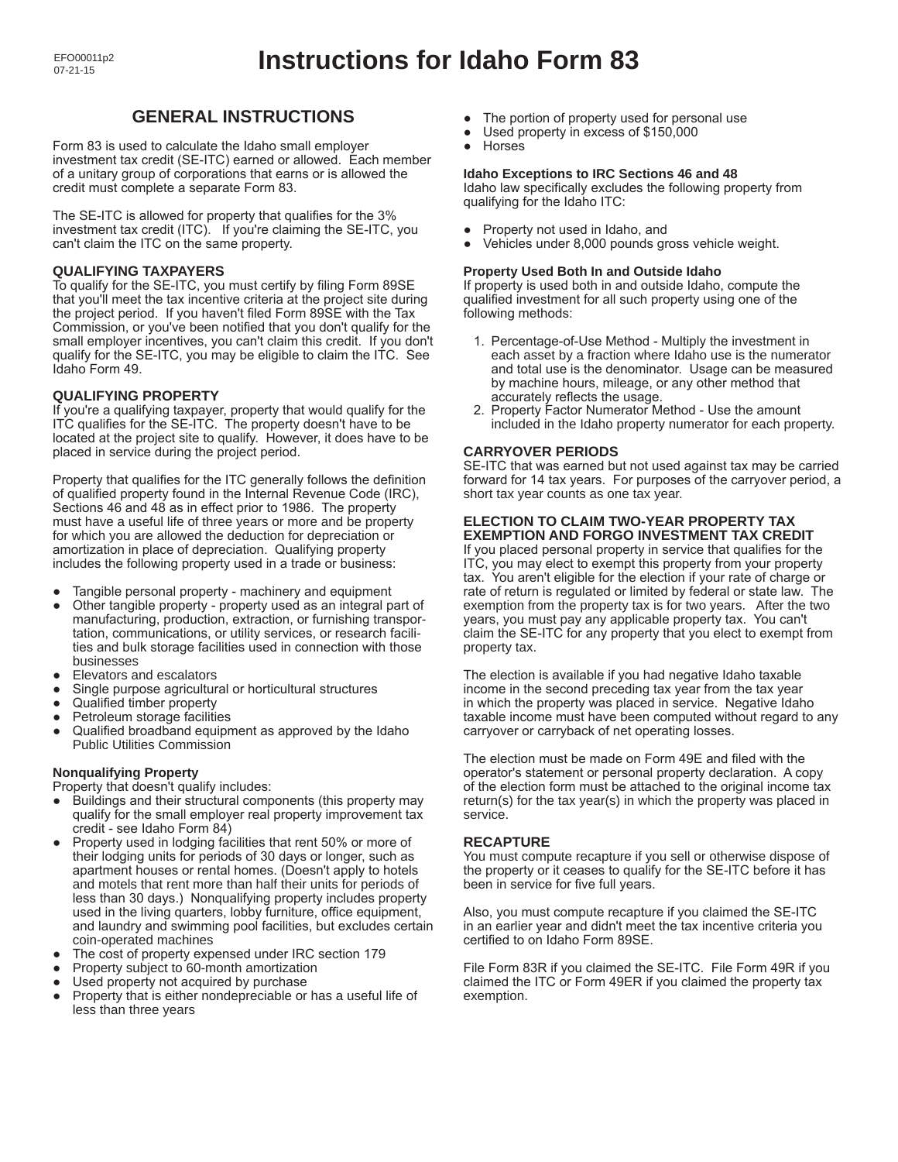# **GENERAL INSTRUCTIONS**

Form 83 is used to calculate the Idaho small employer investment tax credit (SE-ITC) earned or allowed. Each member of a unitary group of corporations that earns or is allowed the credit must complete a separate Form 83.

The SE-ITC is allowed for property that qualifies for the 3% investment tax credit (ITC). If you're claiming the SE-ITC, you can't claim the ITC on the same property.

## **QUALIFYING TAXPAYERS**

To qualify for the SE-ITC, you must certify by filing Form 89SE that you'll meet the tax incentive criteria at the project site during the project period. If you haven't filed Form 89SE with the Tax Commission, or you've been notified that you don't qualify for the small employer incentives, you can't claim this credit. If you don't qualify for the SE-ITC, you may be eligible to claim the ITC. See Idaho Form 49.

## **QUALIFYING PROPERTY**

If you're a qualifying taxpayer, property that would qualify for the ITC qualifies for the SE-ITC. The property doesn't have to be located at the project site to qualify. However, it does have to be placed in service during the project period.

Property that qualifies for the ITC generally follows the definition of qualified property found in the Internal Revenue Code (IRC), Sections 46 and 48 as in effect prior to 1986. The property must have a useful life of three years or more and be property for which you are allowed the deduction for depreciation or amortization in place of depreciation. Qualifying property includes the following property used in a trade or business:

- Tangible personal property machinery and equipment
- Other tangible property property used as an integral part of manufacturing, production, extraction, or furnishing transportation, communications, or utility services, or research facilities and bulk storage facilities used in connection with those businesses
- Elevators and escalators
- Single purpose agricultural or horticultural structures
- Qualified timber property
- Petroleum storage facilities
- Qualified broadband equipment as approved by the Idaho Public Utilities Commission

## **Nonqualifying Property**

Property that doesn't qualify includes:

- Buildings and their structural components (this property may qualify for the small employer real property improvement tax credit - see Idaho Form 84)
- Property used in lodging facilities that rent 50% or more of their lodging units for periods of 30 days or longer, such as apartment houses or rental homes. (Doesn't apply to hotels and motels that rent more than half their units for periods of less than 30 days.) Nonqualifying property includes property used in the living quarters, lobby furniture, office equipment, and laundry and swimming pool facilities, but excludes certain coin-operated machines
- The cost of property expensed under IRC section 179
- Property subject to 60-month amortization
- Used property not acquired by purchase
- Property that is either nondepreciable or has a useful life of less than three years
- The portion of property used for personal use<br>● Used property in excess of \$150,000
- Used property in excess of \$150,000
- Horses

#### **Idaho Exceptions to IRC Sections 46 and 48**

Idaho law specifically excludes the following property from qualifying for the Idaho ITC:

- Property not used in Idaho, and
- Vehicles under 8,000 pounds gross vehicle weight.

#### **Property Used Both In and Outside Idaho**

If property is used both in and outside Idaho, compute the qualified investment for all such property using one of the following methods:

- 1. Percentage-of-Use Method Multiply the investment in each asset by a fraction where Idaho use is the numerator and total use is the denominator. Usage can be measured by machine hours, mileage, or any other method that accurately reflects the usage.
- 2. Property Factor Numerator Method Use the amount included in the Idaho property numerator for each property.

## **CARRYOVER PERIODS**

SE-ITC that was earned but not used against tax may be carried forward for 14 tax years. For purposes of the carryover period, a short tax year counts as one tax year.

#### **ELECTION TO CLAIM TWO-YEAR PROPERTY TAX EXEMPTION AND FORGO INVESTMENT TAX CREDIT**

If you placed personal property in service that qualifies for the ITC, you may elect to exempt this property from your property tax. You aren't eligible for the election if your rate of charge or rate of return is regulated or limited by federal or state law. The exemption from the property tax is for two years. After the two years, you must pay any applicable property tax. You can't claim the SE-ITC for any property that you elect to exempt from property tax.

The election is available if you had negative Idaho taxable income in the second preceding tax year from the tax year in which the property was placed in service. Negative Idaho taxable income must have been computed without regard to any carryover or carryback of net operating losses.

The election must be made on Form 49E and filed with the operator's statement or personal property declaration. A copy of the election form must be attached to the original income tax return(s) for the tax year(s) in which the property was placed in service.

## **RECAPTURE**

You must compute recapture if you sell or otherwise dispose of the property or it ceases to qualify for the SE-ITC before it has been in service for five full years.

Also, you must compute recapture if you claimed the SE-ITC in an earlier year and didn't meet the tax incentive criteria you certified to on Idaho Form 89SE.

File Form 83R if you claimed the SE-ITC. File Form 49R if you claimed the ITC or Form 49ER if you claimed the property tax exemption.